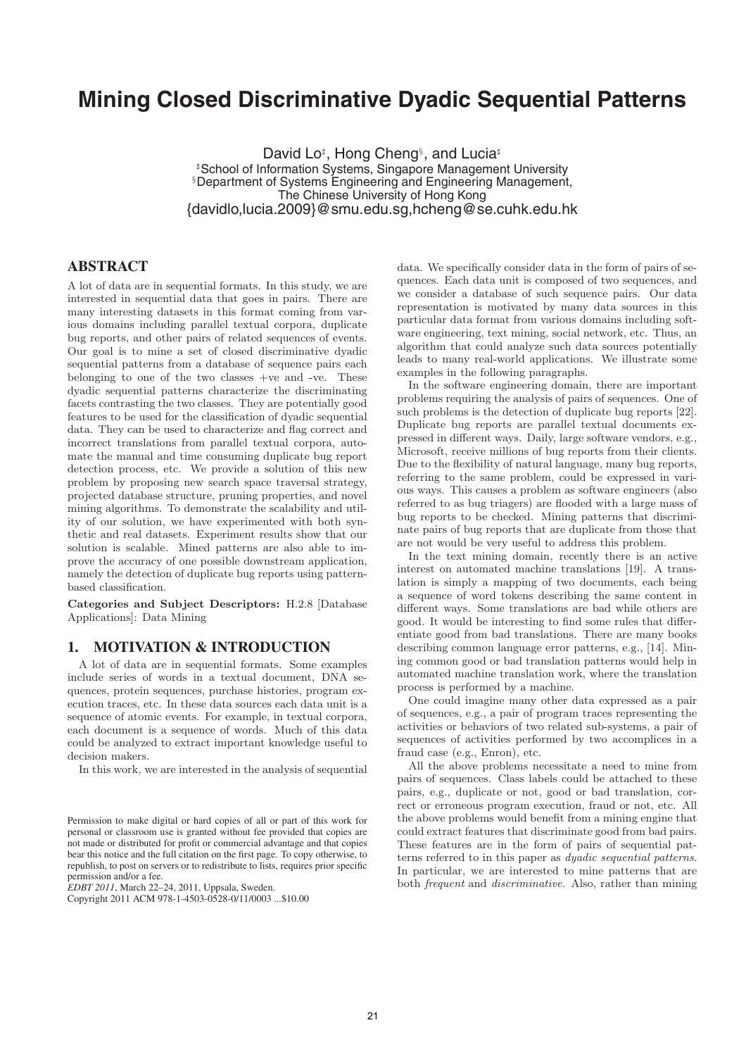# **Mining Closed Discriminative Dyadic Sequential Patterns**

David Lo<sup>#</sup>, Hong Cheng<sup>§</sup>, and Lucia<sup>#</sup> ♯ School of Information Systems, Singapore Management University §Department of Systems Engineering and Engineering Management, The Chinese University of Hong Kong {davidlo,lucia.2009}@smu.edu.sg,hcheng@se.cuhk.edu.hk

# **ABSTRACT**

A lot of data are in sequential formats. In this study, we are interested in sequential data that goes in pairs. There are many interesting datasets in this format coming from various domains including parallel textual corpora, duplicate bug reports, and other pairs of related sequences of events. Our goal is to mine a set of closed discriminative dyadic sequential patterns from a database of sequence pairs each belonging to one of the two classes +ve and -ve. These dyadic sequential patterns characterize the discriminating facets contrasting the two classes. They are potentially good features to be used for the classification of dyadic sequential data. They can be used to characterize and flag correct and incorrect translations from parallel textual corpora, automate the manual and time consuming duplicate bug report detection process, etc. We provide a solution of this new problem by proposing new search space traversal strategy, projected database structure, pruning properties, and novel mining algorithms. To demonstrate the scalability and utility of our solution, we have experimented with both synthetic and real datasets. Experiment results show that our solution is scalable. Mined patterns are also able to improve the accuracy of one possible downstream application, namely the detection of duplicate bug reports using patternbased classification.

**Categories and Subject Descriptors:** H.2.8 [Database Applications]: Data Mining

# **1. MOTIVATION & INTRODUCTION**

A lot of data are in sequential formats. Some examples include series of words in a textual document, DNA sequences, protein sequences, purchase histories, program execution traces, etc. In these data sources each data unit is a sequence of atomic events. For example, in textual corpora, each document is a sequence of words. Much of this data could be analyzed to extract important knowledge useful to decision makers.

In this work, we are interested in the analysis of sequential

*EDBT 2011*, March 22–24, 2011, Uppsala, Sweden.

data. We specifically consider data in the form of pairs of sequences. Each data unit is composed of two sequences, and we consider a database of such sequence pairs. Our data representation is motivated by many data sources in this particular data format from various domains including software engineering, text mining, social network, etc. Thus, an algorithm that could analyze such data sources potentially leads to many real-world applications. We illustrate some examples in the following paragraphs.

In the software engineering domain, there are important problems requiring the analysis of pairs of sequences. One of such problems is the detection of duplicate bug reports [22]. Duplicate bug reports are parallel textual documents expressed in different ways. Daily, large software vendors, e.g., Microsoft, receive millions of bug reports from their clients. Due to the flexibility of natural language, many bug reports, referring to the same problem, could be expressed in various ways. This causes a problem as software engineers (also referred to as bug triagers) are flooded with a large mass of bug reports to be checked. Mining patterns that discriminate pairs of bug reports that are duplicate from those that are not would be very useful to address this problem.

In the text mining domain, recently there is an active interest on automated machine translations [19]. A translation is simply a mapping of two documents, each being a sequence of word tokens describing the same content in different ways. Some translations are bad while others are good. It would be interesting to find some rules that differentiate good from bad translations. There are many books describing common language error patterns, e.g., [14]. Mining common good or bad translation patterns would help in automated machine translation work, where the translation process is performed by a machine.

One could imagine many other data expressed as a pair of sequences, e.g., a pair of program traces representing the activities or behaviors of two related sub-systems, a pair of sequences of activities performed by two accomplices in a fraud case (e.g., Enron), etc.

All the above problems necessitate a need to mine from pairs of sequences. Class labels could be attached to these pairs, e.g., duplicate or not, good or bad translation, correct or erroneous program execution, fraud or not, etc. All the above problems would benefit from a mining engine that could extract features that discriminate good from bad pairs. These features are in the form of pairs of sequential patterns referred to in this paper as dyadic sequential patterns. In particular, we are interested to mine patterns that are both frequent and discriminative. Also, rather than mining

Permission to make digital or hard copies of all or part of this work for personal or classroom use is granted without fee provided that copies are not made or distributed for profit or commercial advantage and that copies bear this notice and the full citation on the first page. To copy otherwise, to republish, to post on servers or to redistribute to lists, requires prior specific permission and/or a fee.

Copyright 2011 ACM 978-1-4503-0528-0/11/0003 ...\$10.00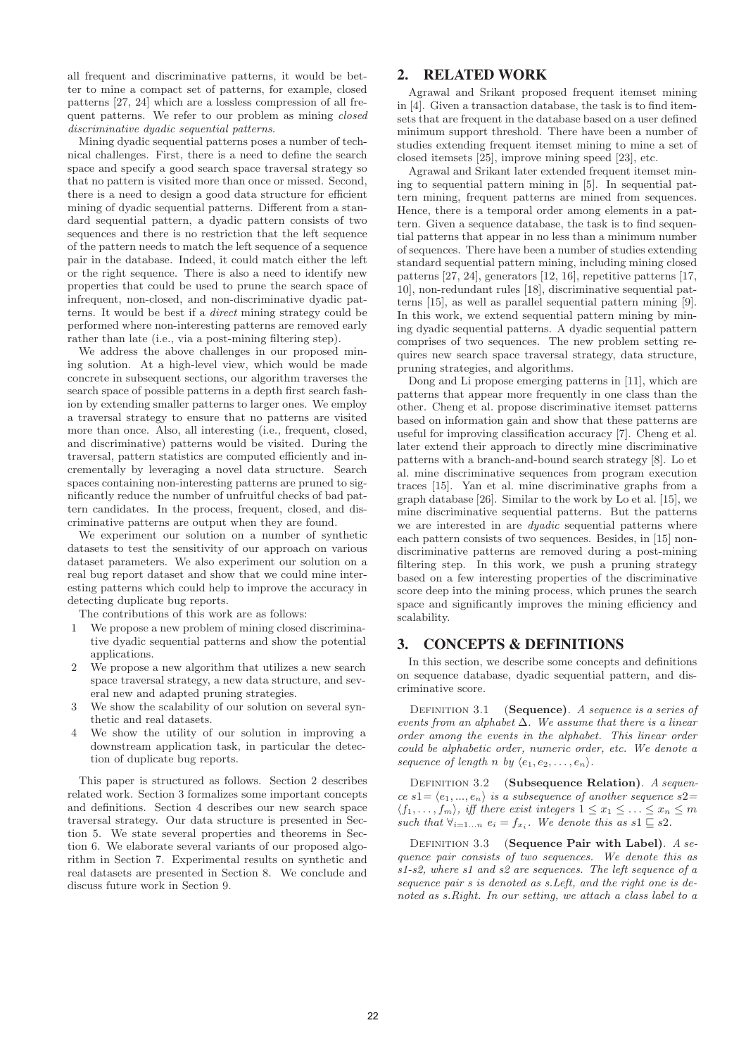all frequent and discriminative patterns, it would be better to mine a compact set of patterns, for example, closed patterns [27, 24] which are a lossless compression of all frequent patterns. We refer to our problem as mining closed discriminative dyadic sequential patterns.

Mining dyadic sequential patterns poses a number of technical challenges. First, there is a need to define the search space and specify a good search space traversal strategy so that no pattern is visited more than once or missed. Second, there is a need to design a good data structure for efficient mining of dyadic sequential patterns. Different from a standard sequential pattern, a dyadic pattern consists of two sequences and there is no restriction that the left sequence of the pattern needs to match the left sequence of a sequence pair in the database. Indeed, it could match either the left or the right sequence. There is also a need to identify new properties that could be used to prune the search space of infrequent, non-closed, and non-discriminative dyadic patterns. It would be best if a direct mining strategy could be performed where non-interesting patterns are removed early rather than late (i.e., via a post-mining filtering step).

We address the above challenges in our proposed mining solution. At a high-level view, which would be made concrete in subsequent sections, our algorithm traverses the search space of possible patterns in a depth first search fashion by extending smaller patterns to larger ones. We employ a traversal strategy to ensure that no patterns are visited more than once. Also, all interesting (i.e., frequent, closed, and discriminative) patterns would be visited. During the traversal, pattern statistics are computed efficiently and incrementally by leveraging a novel data structure. Search spaces containing non-interesting patterns are pruned to significantly reduce the number of unfruitful checks of bad pattern candidates. In the process, frequent, closed, and discriminative patterns are output when they are found.

We experiment our solution on a number of synthetic datasets to test the sensitivity of our approach on various dataset parameters. We also experiment our solution on a real bug report dataset and show that we could mine interesting patterns which could help to improve the accuracy in detecting duplicate bug reports.

The contributions of this work are as follows:

- 1 We propose a new problem of mining closed discriminative dyadic sequential patterns and show the potential applications.
- 2 We propose a new algorithm that utilizes a new search space traversal strategy, a new data structure, and several new and adapted pruning strategies.
- 3 We show the scalability of our solution on several synthetic and real datasets.
- 4 We show the utility of our solution in improving a downstream application task, in particular the detection of duplicate bug reports.

This paper is structured as follows. Section 2 describes related work. Section 3 formalizes some important concepts and definitions. Section 4 describes our new search space traversal strategy. Our data structure is presented in Section 5. We state several properties and theorems in Section 6. We elaborate several variants of our proposed algorithm in Section 7. Experimental results on synthetic and real datasets are presented in Section 8. We conclude and discuss future work in Section 9.

# **2. RELATED WORK**

Agrawal and Srikant proposed frequent itemset mining in [4]. Given a transaction database, the task is to find itemsets that are frequent in the database based on a user defined minimum support threshold. There have been a number of studies extending frequent itemset mining to mine a set of closed itemsets [25], improve mining speed [23], etc.

Agrawal and Srikant later extended frequent itemset mining to sequential pattern mining in [5]. In sequential pattern mining, frequent patterns are mined from sequences. Hence, there is a temporal order among elements in a pattern. Given a sequence database, the task is to find sequential patterns that appear in no less than a minimum number of sequences. There have been a number of studies extending standard sequential pattern mining, including mining closed patterns [27, 24], generators [12, 16], repetitive patterns [17, 10], non-redundant rules [18], discriminative sequential patterns [15], as well as parallel sequential pattern mining [9]. In this work, we extend sequential pattern mining by mining dyadic sequential patterns. A dyadic sequential pattern comprises of two sequences. The new problem setting requires new search space traversal strategy, data structure, pruning strategies, and algorithms.

Dong and Li propose emerging patterns in [11], which are patterns that appear more frequently in one class than the other. Cheng et al. propose discriminative itemset patterns based on information gain and show that these patterns are useful for improving classification accuracy [7]. Cheng et al. later extend their approach to directly mine discriminative patterns with a branch-and-bound search strategy [8]. Lo et al. mine discriminative sequences from program execution traces [15]. Yan et al. mine discriminative graphs from a graph database [26]. Similar to the work by Lo et al. [15], we mine discriminative sequential patterns. But the patterns we are interested in are *dyadic* sequential patterns where each pattern consists of two sequences. Besides, in [15] nondiscriminative patterns are removed during a post-mining filtering step. In this work, we push a pruning strategy based on a few interesting properties of the discriminative score deep into the mining process, which prunes the search space and significantly improves the mining efficiency and scalability.

### **3. CONCEPTS & DEFINITIONS**

In this section, we describe some concepts and definitions on sequence database, dyadic sequential pattern, and discriminative score.

DEFINITION 3.1 (**Sequence**). A sequence is a series of events from an alphabet  $\Delta$ . We assume that there is a linear order among the events in the alphabet. This linear order could be alphabetic order, numeric order, etc. We denote a sequence of length n by  $\langle e_1, e_2, \ldots, e_n \rangle$ .

DEFINITION 3.2 (Subsequence Relation). A sequence  $s1 = \langle e_1, ..., e_n \rangle$  is a subsequence of another sequence  $s2 =$  $\langle f_1,\ldots,f_m\rangle$ , iff there exist integers  $1\leq x_1\leq\ldots\leq x_n\leq m$ such that  $\forall_{i=1...n} e_i = f_{x_i}$ . We denote this as  $s1 \sqsubseteq s2$ .

DEFINITION 3.3 (Sequence Pair with Label). A sequence pair consists of two sequences. We denote this as s1-s2, where s1 and s2 are sequences. The left sequence of a sequence pair s is denoted as s.Left, and the right one is denoted as s.Right. In our setting, we attach a class label to a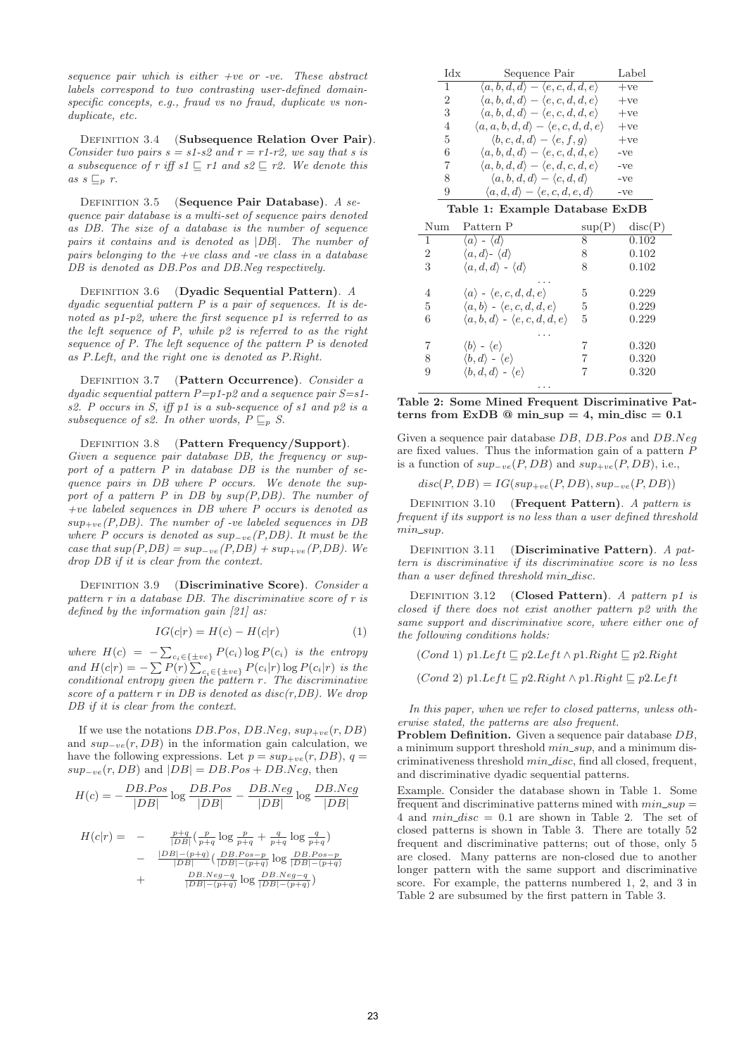sequence pair which is either  $+ve$  or  $-ve$ . These abstract labels correspond to two contrasting user-defined domainspecific concepts, e.g., fraud vs no fraud, duplicate vs nonduplicate, etc.

Definition 3.4 (**Subsequence Relation Over Pair)**. Consider two pairs  $s = s1-s2$  and  $r = r1-r2$ , we say that s is a subsequence of r iff s1  $\sqsubseteq$  r1 and s2  $\sqsubseteq$  r2. We denote this as  $s \sqsubseteq_p r$ .

Definition 3.5 (**Sequence Pair Database)**. A sequence pair database is a multi-set of sequence pairs denoted as DB. The size of a database is the number of sequence pairs it contains and is denoted as ∣DB∣. The number of pairs belonging to the  $+ve$  class and -ve class in a database DB is denoted as DB.Pos and DB.Neg respectively.

Definition 3.6 (**Dyadic Sequential Pattern)**. A dyadic sequential pattern P is a pair of sequences. It is denoted as p1-p2, where the first sequence p1 is referred to as the left sequence of  $P$ , while  $p2$  is referred to as the right sequence of P. The left sequence of the pattern P is denoted as P.Left, and the right one is denoted as P.Right.

Definition 3.7 (**Pattern Occurrence)**. Consider a dyadic sequential pattern  $P=p1-p2$  and a sequence pair  $S=s1$ s2. P occurs in S, iff p1 is a sub-sequence of s1 and p2 is a subsequence of s2. In other words,  $P \sqsubseteq_{p} S$ .

Definition 3.8 (**Pattern Frequency/Support)**. Given a sequence pair database DB, the frequency or support of a pattern P in database DB is the number of sequence pairs in DB where P occurs. We denote the support of a pattern  $P$  in  $DB$  by  $sup(P, DB)$ . The number of  $+ve$  labeled sequences in DB where  $P$  occurs is denoted as  $sup_{+ve}(P, DB)$ . The number of -ve labeled sequences in DB where P occurs is denoted as  $sup_{-ve}$  (P,DB). It must be the case that  $sup(P, DB) = sup_{-ve}(P, DB) + sup_{+ve}(P, DB)$ . We drop DB if it is clear from the context.

Definition 3.9 (**Discriminative Score)**. Consider a pattern r in a database DB. The discriminative score of r is defined by the information gain [21] as:

$$
IG(c|r) = H(c) - H(c|r)
$$
\n<sup>(1)</sup>

where  $H(c) = -\sum_{c_i \in {\{\pm v e\}}} P(c_i) \log P(c_i)$  is the entropy and  $H(c|r) = -\sum P(r) \sum_{c_i \in \{\pm ve\}} P(c_i|r) \log P(c_i|r)$  is the conditional entropy given the pattern r. The discriminative score of a pattern  $r$  in DB is denoted as  $disc(r, DB)$ . We drop DB if it is clear from the context.

If we use the notations  $DB.Pos$ ,  $DB.Neg$ ,  $sup_{+ve}(r, DB)$ and  $sup_{-ve}(r, DB)$  in the information gain calculation, we have the following expressions. Let  $p = \sup_{x \in \mathcal{F}}(r, DB)$ ,  $q =$  $sup_{-ve}(r, DB)$  and  $|DB| = DB.Pos + DB.Neg$ , then

$$
H(c) = -\frac{DB. Pos}{|DB|} \log \frac{DB. Pos}{|DB|} - \frac{DB. Neg}{|DB|} \log \frac{DB. Neg}{|DB|}
$$
  

$$
H(c|r) = -\frac{p+q}{|DB|} (\frac{p}{p+q} \log \frac{p}{p+q} + \frac{q}{p+q} \log \frac{q}{p+q}) - \frac{|DB| - (p+q)}{|DB| - (p+q)} (\frac{DB. Pos - p}{|DB| - (p+q)} \log \frac{DB. Pos - p}{|DB| - (p+q)}) + \frac{DB. Neg - q}{|DB| - (p+q)} \log \frac{DB. Neg - q}{|DB| - (p+q)} )
$$

| Idx                            | Sequence Pair                                                   |  | Label   |  |
|--------------------------------|-----------------------------------------------------------------|--|---------|--|
| 1                              | $\langle a, b, d, d \rangle - \langle e, c, d, d, e \rangle$    |  | $+ve$   |  |
| $\overline{2}$                 | $\langle a, b, d, d \rangle - \langle e, c, d, d, e \rangle$    |  | $+ve$   |  |
| 3                              | $\langle a, b, d, d \rangle - \langle e, c, d, d, e \rangle$    |  | $+ve$   |  |
| 4                              | $\langle a, a, b, d, d \rangle - \langle e, c, d, d, e \rangle$ |  | $+ve$   |  |
| 5                              | $\langle b, c, d, d \rangle - \langle e, f, q \rangle$          |  | $+ve$   |  |
| 6                              | $\langle a, b, d, d \rangle - \langle e, c, d, d, e \rangle$    |  | -ve     |  |
| 7                              | $\langle a, b, d, d \rangle - \langle e, d, c, d, e \rangle$    |  | -ve     |  |
| 8                              | $\langle a, b, d, d \rangle - \langle c, d, d \rangle$          |  | -ve     |  |
| 9                              | $\langle a, d, d \rangle - \langle e, c, d, e, d \rangle$       |  | $-ve$   |  |
| Table 1: Example Database ExDB |                                                                 |  |         |  |
|                                | Num Pattern P<br>sup(P)                                         |  | disc(P) |  |

| Num            | Pattern P                                                   | sup(P) | disc(P) |
|----------------|-------------------------------------------------------------|--------|---------|
| 1              | $\langle a \rangle$ - $\langle d \rangle$                   | 8      | 0.102   |
| $\overline{2}$ | $\langle a, d \rangle$ - $\langle d \rangle$                | 8      | 0.102   |
| 3              | $\langle a, d, d \rangle$ - $\langle d \rangle$             | 8      | 0.102   |
|                |                                                             |        |         |
| 4              | $\langle a \rangle$ - $\langle e, c, d, d, e \rangle$       | 5      | 0.229   |
| 5              | $\langle a,b \rangle$ - $\langle e,c,d,d,e \rangle$         | 5      | 0.229   |
| 6              | $\langle a, b, d \rangle$ - $\langle e, c, d, d, e \rangle$ | 5      | 0.229   |
|                |                                                             |        |         |
| 7              | $\langle b \rangle$ - $\langle e \rangle$                   | 7      | 0.320   |
| 8              | $\langle b, d \rangle$ - $\langle e \rangle$                | 7      | 0.320   |
| 9              | $\langle b, d, d \rangle$ - $\langle e \rangle$             |        | 0.320   |

... **Table 2: Some Mined Frequent Discriminative Pat-** $\tanh$  **terns** from  $\text{ExDB} \text{ } @$  min\_sup = 4, min\_disc = 0.1

Given a sequence pair database  $DB$ ,  $DB.P$ os and  $DB.Neg$ are fixed values. Thus the information gain of a pattern  $P$ is a function of  $sup_{-ve}(P, DB)$  and  $sup_{+ve}(P, DB)$ , i.e.,

 $disc(P, DB) = IG(sup_{+ve}(P, DB), sup_{-ve}(P, DB))$ 

Definition 3.10 (**Frequent Pattern)**. A pattern is frequent if its support is no less than a user defined threshold  $min\_sup.$ 

DEFINITION 3.11 (Discriminative Pattern). A pattern is discriminative if its discriminative score is no less  $than\ a\ user\ defined\ threshold\ min\_disc.$ 

Definition 3.12 (**Closed Pattern)**. A pattern p1 is closed if there does not exist another pattern p2 with the same support and discriminative score, where either one of the following conditions holds:

 $(Cond 1) p1. Left \sqsubset p2. Left \wedge p1. Right \sqsubset p2. Right$ 

 $(Cond 2)$   $p1. Left \sqsubseteq p2. Right \wedge p1. Right \sqsubseteq p2. Left$ 

In this paper, when we refer to closed patterns, unless otherwise stated, the patterns are also frequent.

**Problem Definition.** Given a sequence pair database DB, a minimum support threshold  $min\_sup$ , and a minimum discriminativeness threshold  $min\_disc$ , find all closed, frequent, and discriminative dyadic sequential patterns.

Example. Consider the database shown in Table 1. Some  $f_{\text{require}}$  and discriminative patterns mined with  $min\_sup =$ 4 and  $min\_disc = 0.1$  are shown in Table 2. The set of closed patterns is shown in Table 3. There are totally 52 frequent and discriminative patterns; out of those, only 5 are closed. Many patterns are non-closed due to another longer pattern with the same support and discriminative score. For example, the patterns numbered 1, 2, and 3 in Table 2 are subsumed by the first pattern in Table 3.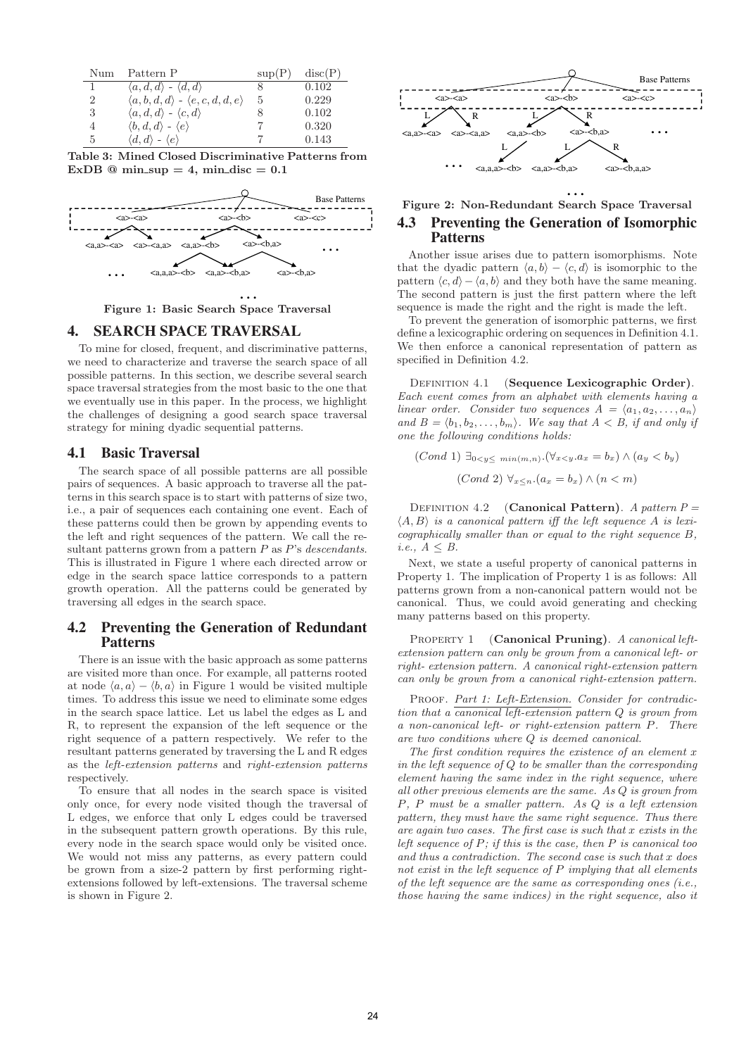| Num | Pattern P                                                      | sup(P) | disc(P) |
|-----|----------------------------------------------------------------|--------|---------|
| 1   | $\langle a, d, d \rangle - \langle d, d \rangle$               |        | 0.102   |
| 2   | $\langle a, b, d, d \rangle$ - $\langle e, c, d, d, e \rangle$ | 5      | 0.229   |
| 3   | $\langle a, d, d \rangle - \langle c, d \rangle$               |        | 0.102   |
| 4   | $\langle b, d, d \rangle - \langle e \rangle$                  |        | 0.320   |
| 5   | $\langle d, d \rangle$ - $\langle e \rangle$                   |        | 0.143   |

**Table 3: Mined Closed Discriminative Patterns from ExDB** @ min\_sup  $= 4$ , min\_disc  $= 0.1$ 



**Figure 1: Basic Search Space Traversal**

# **4. SEARCH SPACE TRAVERSAL**

To mine for closed, frequent, and discriminative patterns, we need to characterize and traverse the search space of all possible patterns. In this section, we describe several search space traversal strategies from the most basic to the one that we eventually use in this paper. In the process, we highlight the challenges of designing a good search space traversal strategy for mining dyadic sequential patterns.

#### **4.1 Basic Traversal**

The search space of all possible patterns are all possible pairs of sequences. A basic approach to traverse all the patterns in this search space is to start with patterns of size two, i.e., a pair of sequences each containing one event. Each of these patterns could then be grown by appending events to the left and right sequences of the pattern. We call the resultant patterns grown from a pattern  $P$  as  $P$ 's descendants. This is illustrated in Figure 1 where each directed arrow or edge in the search space lattice corresponds to a pattern growth operation. All the patterns could be generated by traversing all edges in the search space.

#### **4.2 Preventing the Generation of Redundant Patterns**

There is an issue with the basic approach as some patterns are visited more than once. For example, all patterns rooted at node  $\langle a, a \rangle - \langle b, a \rangle$  in Figure 1 would be visited multiple times. To address this issue we need to eliminate some edges in the search space lattice. Let us label the edges as L and R, to represent the expansion of the left sequence or the right sequence of a pattern respectively. We refer to the resultant patterns generated by traversing the L and R edges as the left-extension patterns and right-extension patterns respectively.

To ensure that all nodes in the search space is visited only once, for every node visited though the traversal of L edges, we enforce that only L edges could be traversed in the subsequent pattern growth operations. By this rule, every node in the search space would only be visited once. We would not miss any patterns, as every pattern could be grown from a size-2 pattern by first performing rightextensions followed by left-extensions. The traversal scheme is shown in Figure 2.



# **Figure 2: Non-Redundant Search Space Traversal 4.3 Preventing the Generation of Isomorphic Patterns**

Another issue arises due to pattern isomorphisms. Note that the dyadic pattern  $\langle a, b \rangle - \langle c, d \rangle$  is isomorphic to the pattern  $\langle c, d \rangle - \langle a, b \rangle$  and they both have the same meaning. The second pattern is just the first pattern where the left sequence is made the right and the right is made the left.

To prevent the generation of isomorphic patterns, we first define a lexicographic ordering on sequences in Definition 4.1. We then enforce a canonical representation of pattern as specified in Definition 4.2.

Definition 4.1 (**Sequence Lexicographic Order)**. Each event comes from an alphabet with elements having a linear order. Consider two sequences  $A = \langle a_1, a_2, \ldots, a_n \rangle$ and  $B = \langle b_1, b_2, \ldots, b_m \rangle$ . We say that  $A \leq B$ , if and only if one the following conditions holds:

$$
(Cond\ 1)\ \exists_{0< y\leq\ min(m,n)}.\left(\forall_{x< y}.a_x = b_x\right) \land \left(a_y < b_y\right)
$$
\n
$$
(Cond\ 2)\ \forall_{x< n}.(a_x = b_x) \land (n < m)
$$

DEFINITION 4.2 (**Canonical Pattern)**. A pattern  $P =$  $\langle A, B \rangle$  is a canonical pattern iff the left sequence A is lexi $cographically smaller than or equal to the right sequence  $B$ ,$ i.e.,  $A \leq B$ .

Next, we state a useful property of canonical patterns in Property 1. The implication of Property 1 is as follows: All patterns grown from a non-canonical pattern would not be canonical. Thus, we could avoid generating and checking many patterns based on this property.

PROPERTY 1 (**Canonical Pruning**). A canonical leftextension pattern can only be grown from a canonical left- or right- extension pattern. A canonical right-extension pattern can only be grown from a canonical right-extension pattern.

PROOF. Part 1: Left-Extension. Consider for contradiction that a canonical left-extension pattern  $Q$  is grown from a non-canonical left- or right-extension pattern  $P$ . There are two conditions where  $Q$  is deemed canonical.

The first condition requires the existence of an element  $x$ in the left sequence of  $\overline{O}$  to be smaller than the corresponding element having the same index in the right sequence, where all other previous elements are the same. As  $Q$  is grown from  $P$ ,  $P$  must be a smaller pattern. As  $Q$  is a left extension pattern, they must have the same right sequence. Thus there are again two cases. The first case is such that  $x$  exists in the left sequence of  $P$ ; if this is the case, then  $P$  is canonical too and thus a contradiction. The second case is such that  $x$  does not exist in the left sequence of  $P$  implying that all elements of the left sequence are the same as corresponding ones (i.e., those having the same indices) in the right sequence, also it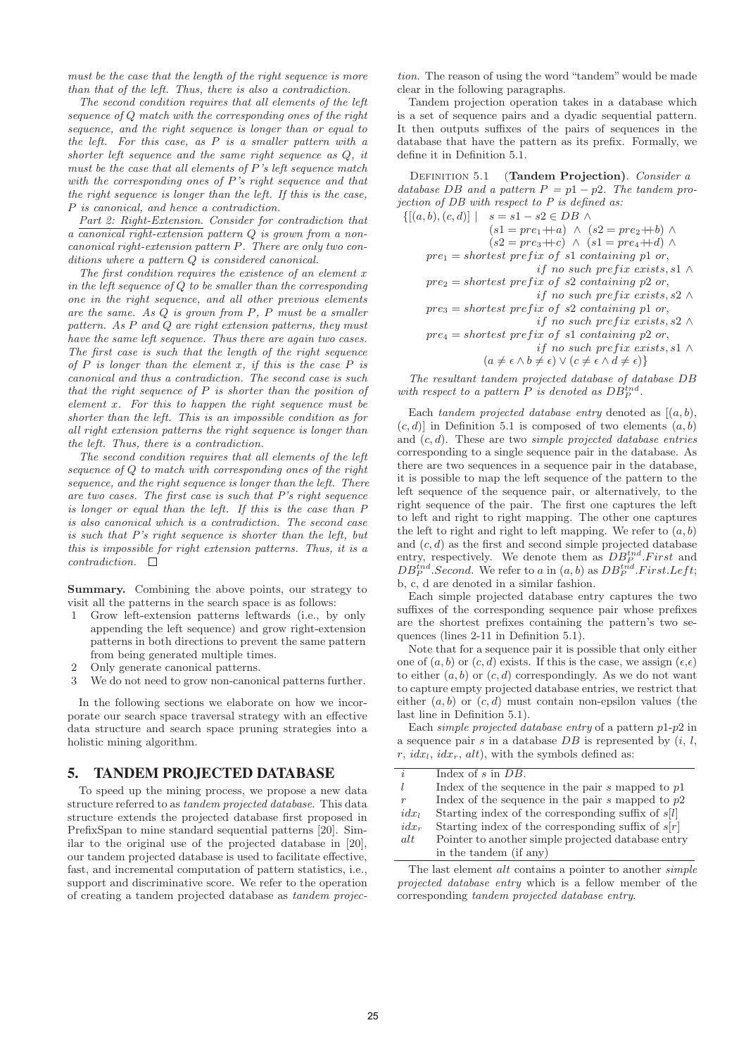must be the case that the length of the right sequence is more than that of the left. Thus, there is also a contradiction.

The second condition requires that all elements of the left sequence of  $Q$  match with the corresponding ones of the right sequence, and the right sequence is longer than or equal to the left. For this case, as  $P$  is a smaller pattern with a shorter left sequence and the same right sequence as  $Q$ , it must be the case that all elements of  $P$ 's left sequence match with the corresponding ones of  $P$ 's right sequence and that the right sequence is longer than the left. If this is the case, P is canonical, and hence a contradiction.

Part 2: Right-Extension. Consider for contradiction that  $a$  canonical right-extension pattern  $Q$  is grown from a noncanonical right-extension pattern  $P$ . There are only two conditions where a pattern  $Q$  is considered canonical.

The first condition requires the existence of an element  $x$ in the left sequence of  $Q$  to be smaller than the corresponding one in the right sequence, and all other previous elements are the same. As  $Q$  is grown from  $P$ ,  $P$  must be a smaller pattern. As  $P$  and  $Q$  are right extension patterns, they must have the same left sequence. Thus there are again two cases. The first case is such that the length of the right sequence of  $P$  is longer than the element  $x$ , if this is the case  $P$  is canonical and thus a contradiction. The second case is such that the right sequence of  $P$  is shorter than the position of element  $x$ . For this to happen the right sequence must be shorter than the left. This is an impossible condition as for all right extension patterns the right sequence is longer than the left. Thus, there is a contradiction.

The second condition requires that all elements of the left sequence of  $Q$  to match with corresponding ones of the right sequence, and the right sequence is longer than the left. There are two cases. The first case is such that P's right sequence is longer or equal than the left. If this is the case than P is also canonical which is a contradiction. The second case is such that P's right sequence is shorter than the left, but this is impossible for right extension patterns. Thus, it is a  $contradiction.$   $\quad \ \ \Box$ 

**Summary.** Combining the above points, our strategy to visit all the patterns in the search space is as follows:

- 1 Grow left-extension patterns leftwards (i.e., by only appending the left sequence) and grow right-extension patterns in both directions to prevent the same pattern from being generated multiple times.
- 2 Only generate canonical patterns.
- 3 We do not need to grow non-canonical patterns further.

In the following sections we elaborate on how we incorporate our search space traversal strategy with an effective data structure and search space pruning strategies into a holistic mining algorithm.

#### **5. TANDEM PROJECTED DATABASE**

To speed up the mining process, we propose a new data structure referred to as tandem projected database. This data structure extends the projected database first proposed in PrefixSpan to mine standard sequential patterns [20]. Similar to the original use of the projected database in [20], our tandem projected database is used to facilitate effective, fast, and incremental computation of pattern statistics, i.e., support and discriminative score. We refer to the operation of creating a tandem projected database as tandem projection. The reason of using the word "tandem" would be made clear in the following paragraphs.

Tandem projection operation takes in a database which is a set of sequence pairs and a dyadic sequential pattern. It then outputs suffixes of the pairs of sequences in the database that have the pattern as its prefix. Formally, we define it in Definition 5.1.

DEFINITION 5.1 (Tandem Projection). Consider a database DB and a pattern  $P = p1 - p2$ . The tandem projection of DB with respect to P is defined as:

 $\{[(a, b), (c, d)] \mid s = s1 - s2 \in DB \wedge$  $(s1 = pre_1 + a) \land (s2 = pre_2 + b) \land$  $(s2 = pre_3 + c) \wedge (s1 = pre_4 + d) \wedge$  $pre_1 = shortest\ prefix\ of\ s1\ containing\ p1\ or,$ if no such prefix exists, s1  $\wedge$  $pre_2 = shortest\ prefix\ of\ s2\ containing\ p2\ or,$ if no such prefix exists, s2  $\wedge$  $pre_3 = shortest\ prefix\ of\ s2\ containing\ p1\ or,$ *if no such prefix exists, s*2  $\land$ 

 $pre_4 = shortest\ prefix\ of\ s1\ containing\ p2\ or,$ *if no such prefix exists, s1*  $\wedge$ 

 $(a \neq \epsilon \wedge b \neq \epsilon) \vee (c \neq \epsilon \wedge d \neq \epsilon)$ 

The resultant tandem projected database of database with respect to a pattern  $P$  is denoted as  $DB_P^{tnd}$ .

Each tandem projected database entry denoted as  $[(a, b),$  $(c, d)$ ] in Definition 5.1 is composed of two elements  $(a, b)$ and  $(c, d)$ . These are two *simple projected database entries* corresponding to a single sequence pair in the database. As there are two sequences in a sequence pair in the database, it is possible to map the left sequence of the pattern to the left sequence of the sequence pair, or alternatively, to the right sequence of the pair. The first one captures the left to left and right to right mapping. The other one captures the left to right and right to left mapping. We refer to  $(a, b)$ and  $(c, d)$  as the first and second simple projected database entry, respectively. We denote them as  $DB^{tnd}_P.First$  and  $DB_P^{tnd}$ . Second. We refer to a in  $(a, b)$  as  $DB_P^{tnd}$ . First. Left; b, c, d are denoted in a similar fashion.

Each simple projected database entry captures the two suffixes of the corresponding sequence pair whose prefixes are the shortest prefixes containing the pattern's two sequences (lines 2-11 in Definition 5.1).

Note that for a sequence pair it is possible that only either one of  $(a, b)$  or  $(c, d)$  exists. If this is the case, we assign  $(\epsilon, \epsilon)$ to either  $(a, b)$  or  $(c, d)$  correspondingly. As we do not want to capture empty projected database entries, we restrict that either  $(a, b)$  or  $(c, d)$  must contain non-epsilon values (the last line in Definition 5.1).

Each simple projected database entry of a pattern  $p1-p2$  in a sequence pair  $s$  in a database  $DB$  is represented by  $(i, l, j)$  $r, idx_l, idx_r, alt$ , with the symbols defined as:

| $\dot{i}$ | Index of $s$ in $DB$ .                                                                |
|-----------|---------------------------------------------------------------------------------------|
| $\iota$   | Index of the sequence in the pair s mapped to $p1$                                    |
|           | Index of the sequence in the pair $s$ mapped to $p2$                                  |
| $idx_l$   | Starting index of the corresponding suffix of $s[l]$                                  |
| $idx_r$   | Starting index of the corresponding suffix of $s[r]$                                  |
| alt       | Pointer to another simple projected database entry                                    |
|           | in the tandem (if any)                                                                |
|           | $\text{TP1}$ . I all class of all contains a mathematic contribution of $\mathcal{I}$ |

The last element *alt* contains a pointer to another *simple* projected database entry which is a fellow member of the corresponding tandem projected database entry.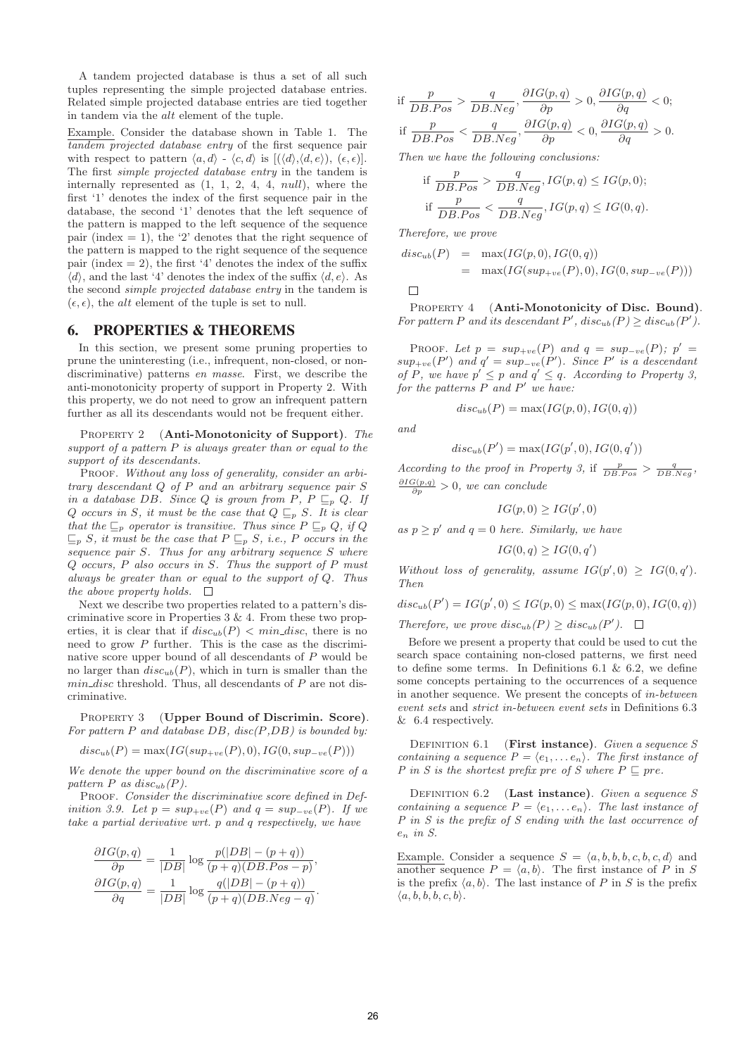A tandem projected database is thus a set of all such tuples representing the simple projected database entries. Related simple projected database entries are tied together in tandem via the  $alt$  element of the tuple.

Example. Consider the database shown in Table 1. The tandem projected database entry of the first sequence pair with respect to pattern  $\langle a, d \rangle - \langle c, d \rangle$  is  $[(\langle d \rangle, \langle d, e \rangle), (\epsilon, \epsilon)].$ The first simple projected database entry in the tandem is internally represented as  $(1, 1, 2, 4, 4, null)$ , where the first '1' denotes the index of the first sequence pair in the database, the second '1' denotes that the left sequence of the pattern is mapped to the left sequence of the sequence pair (index  $= 1$ ), the '2' denotes that the right sequence of the pattern is mapped to the right sequence of the sequence pair (index  $= 2$ ), the first '4' denotes the index of the suffix  $\langle d \rangle$ , and the last '4' denotes the index of the suffix  $\langle d, e \rangle$ . As the second simple projected database entry in the tandem is  $(\epsilon, \epsilon)$ , the *alt* element of the tuple is set to null.

## **6. PROPERTIES & THEOREMS**

In this section, we present some pruning properties to prune the uninteresting (i.e., infrequent, non-closed, or nondiscriminative) patterns en masse. First, we describe the anti-monotonicity property of support in Property 2. With this property, we do not need to grow an infrequent pattern further as all its descendants would not be frequent either.

Property 2 (**Anti-Monotonicity of Support)**. The support of a pattern  $P$  is always greater than or equal to the support of its descendants.

PROOF. Without any loss of generality, consider an arbitrary descendant  $Q$  of  $P$  and an arbitrary sequence pair  $S$ in a database DB. Since Q is grown from P,  $P \sqsubseteq_p Q$ . If Q occurs in S, it must be the case that  $Q \sqsubseteq_{p} S$ . It is clear that the  $\sqsubseteq_p$  operator is transitive. Thus since  $P \sqsubseteq_p Q$ , if Q  $\sqsubseteq_{p} S$ , it must be the case that  $P \sqsubseteq_{p} S$ , i.e., P occurs in the sequence pair  $S$ . Thus for any arbitrary sequence  $S$  where  $Q$  occurs,  $P$  also occurs in  $S$ . Thus the support of  $P$  must always be greater than or equal to the support of  $Q$ . Thus the above property holds.  $\Box$ 

Next we describe two properties related to a pattern's discriminative score in Properties  $3 \& 4$ . From these two properties, it is clear that if  $disc_{ub}(P) < min\_disc$ , there is no need to grow  $P$  further. This is the case as the discriminative score upper bound of all descendants of  $P$  would be no larger than  $disc_{ub}(P)$ , which in turn is smaller than the  $min\_disc$  threshold. Thus, all descendants of  $P$  are not discriminative.

PROPERTY 3 (Upper Bound of Discrimin. Score). For pattern  $P$  and database  $DB$ , disc( $P$ , $DB$ ) is bounded by:

$$
disc_{ub}(P) = \max(IG(sup_{+ve}(P), 0), IG(0, sup_{-ve}(P)))
$$

We denote the upper bound on the discriminative score of a pattern P as  $disc_{ub}(P)$ .

PROOF. Consider the discriminative score defined in Definition 3.9. Let  $p = sup_{+ve}(P)$  and  $q = sup_{-ve}(P)$ . If we take a partial derivative wrt.  $p$  and  $q$  respectively, we have

$$
\frac{\partial IG(p,q)}{\partial p} = \frac{1}{|DB|} \log \frac{p(|DB| - (p+q))}{(p+q)(DB, Pos - p)},
$$
  

$$
\frac{\partial IG(p,q)}{\partial q} = \frac{1}{|DB|} \log \frac{q(|DB| - (p+q))}{(p+q)(DB, Neg - q)}.
$$

$$
\begin{aligned} \text{if }\frac{p}{DB. Pos} > \frac{q}{DB. Neg}, \frac{\partial IG(p, q)}{\partial p} > 0, \frac{\partial IG(p, q)}{\partial q} < 0;\\ \text{if }\frac{p}{DB. Pos} < \frac{q}{DB. Neg}, \frac{\partial IG(p, q)}{\partial p} < 0, \frac{\partial IG(p, q)}{\partial q} > 0. \end{aligned}
$$

Then we have the following conclusions:

$$
\begin{aligned} \text{if }\frac{p}{DB. Pos} > \frac{q}{DB. Neg}, IG(p, q) \le IG(p, 0);\\ \text{if }\frac{p}{DB. Pos} < \frac{q}{DB. Neg}, IG(p, q) \le IG(0, q). \end{aligned}
$$

Therefore, we prove

$$
disc_{ub}(P) = \max(IG(p, 0), IG(0, q))
$$
  
= 
$$
\max(IG(sup_{+ve}(P), 0), IG(0, sup_{-ve}(P)))
$$

 $\Box$ 

Property 4 (**Anti-Monotonicity of Disc. Bound)**. For pattern P and its descendant P',  $disc_{ub}(P) \geq disc_{ub}(P')$ .

PROOF. Let  $p = sup_{+ve}(P)$  and  $q = sup_{-ve}(P); p' =$  $sup_{+ve}(P')$  and  $q' = sup_{-ve}(P')$ . Since P' is a descendant of P, we have  $p' \leq p$  and  $q' \leq q$ . According to Property 3, for the patterns  $P$  and  $P'$  we have:

$$
disc_{ub}(P) = \max(IG(p, 0), IG(0, q))
$$

and

$$
disc_{ub}(P') = \max(IG(p', 0), IG(0, q'))
$$

According to the proof in Property 3, if  $\frac{p}{DB \cdot Pos} > \frac{q}{DB \cdot Neg}$ ,  $\frac{\partial IG(p,q)}{\partial p} > 0$ , we can conclude

$$
IG(p,0) \ge IG(p',0)
$$

as  $p > p'$  and  $q = 0$  here. Similarly, we have

$$
IG(0, q) \ge IG(0, q')
$$

Without loss of generality, assume  $IG(p', 0) \geq IG(0, q').$ Then

$$
disc_{ub}(P') = IG(p', 0) \le IG(p, 0) \le \max(IG(p, 0), IG(0, q))
$$

Therefore, we prove  $disc_{ub}(P) \geq disc_{ub}(P')$ .

Before we present a property that could be used to cut the search space containing non-closed patterns, we first need to define some terms. In Definitions 6.1 & 6.2, we define some concepts pertaining to the occurrences of a sequence in another sequence. We present the concepts of  $in$ -between event sets and strict in-between event sets in Definitions 6.3 & 6.4 respectively.

DEFINITION 6.1 (First instance). Given a sequence S containing a sequence  $P = \langle e_1, \ldots e_n \rangle$ . The first instance of P in S is the shortest prefix pre of S where  $P \sqsubseteq pre$ .

DEFINITION 6.2 (Last instance). Given a sequence S containing a sequence  $P = \langle e_1, \ldots e_n \rangle$ . The last instance of P in S is the prefix of S ending with the last occurrence of  $e_n$  in  $S$ .

Example. Consider a sequence  $S = \langle a, b, b, b, c, b, c, d \rangle$  and another sequence  $P = \langle a, b \rangle$ . The first instance of P in S is the prefix  $\langle a, b \rangle$ . The last instance of P in S is the prefix  $\langle a, b, b, b, c, b \rangle$ .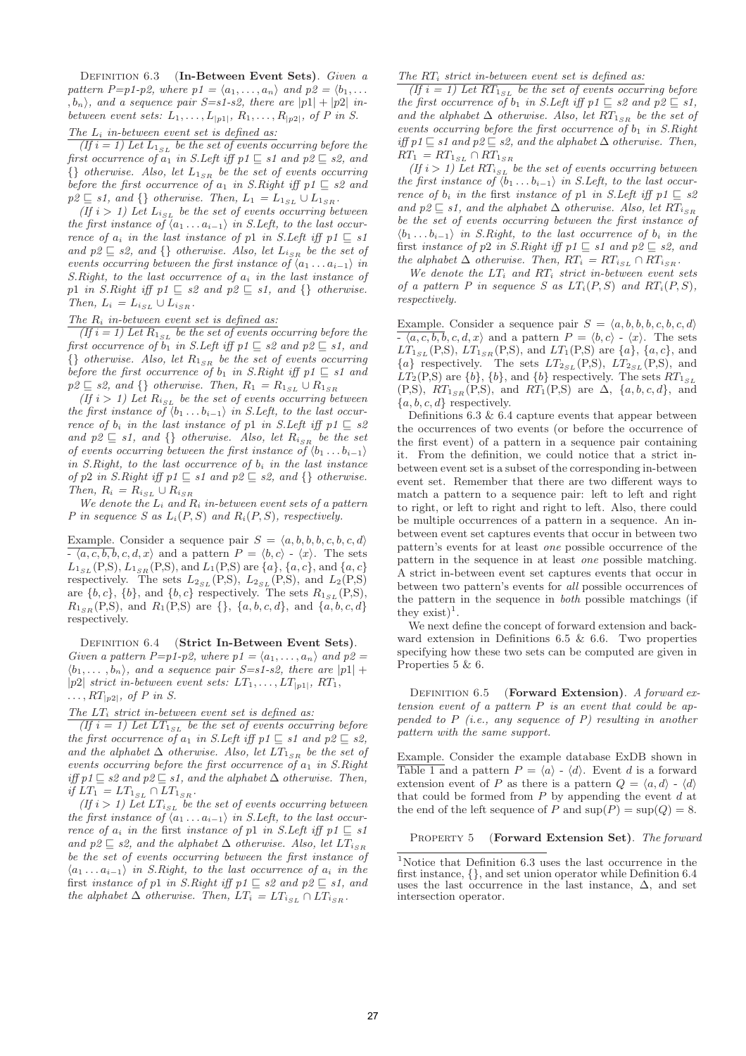Definition 6.3 (**In-Between Event Sets)**. Given a pattern P=p1-p2, where  $p1 = \langle a_1, \ldots, a_n \rangle$  and  $p2 = \langle b_1, \ldots \rangle$  $\langle b_n \rangle$ , and a sequence pair S=s1-s2, there are  $|p_1| + |p_2|$  inbetween event sets:  $L_1, \ldots, L_{|p_1|}, R_1, \ldots, R_{|p_2|},$  of P in S.

# The  $L_i$  in-between event set is defined as:

 $(f\{if\ i = 1)\ Let\ L_{1_{SL}}\ be\ the\ set\ of\ events\ occurring\ before\ the$ first occurrence of  $a_1$  in S. Left iff  $p1 \sqsubseteq s1$  and  $p2 \sqsubseteq s2$ , and  $\{\}$  otherwise. Also, let  $L_{1_{SR}}$  be the set of events occurring before the first occurrence of  $a_1$  in S.Right iff  $p1 \sqsubseteq s2$  and  $p2 \subseteq s1$ , and {} otherwise. Then,  $L_1 = L_{1_{SL}} \cup L_{1_{SR}}$ .

(If  $i > 1$ ) Let  $L_{i_{SL}}$  be the set of events occurring between the first instance of  $\langle a_1 \ldots a_{i-1} \rangle$  in S. Left, to the last occurrence of  $a_i$  in the last instance of p1 in S.Left iff p1  $\sqsubseteq$  s1 and  $p2 \subseteq s2$ , and {} otherwise. Also, let  $L_{i_{SR}}$  be the set of events occurring between the first instance of  $\langle a_1 \dots a_{i-1} \rangle$  in S. Right, to the last occurrence of  $a_i$  in the last instance of p1 in S.Right iff  $p1 \sqsubseteq s2$  and  $p2 \sqsubseteq s1$ , and  $\{\}$  otherwise. Then,  $L_i = L_{i_{SL}} \cup L_{i_{SR}}$ .

#### The  $R_i$  in-between event set is defined as:

 $(If i = 1)$  Let  $R_{1_{SL}}$  be the set of events occurring before the first occurrence of  $\overline{b_1}$  in S. Left iff  $p1 \sqsubseteq s2$  and  $p2 \sqsubseteq s1$ , and  $\{\}$  otherwise. Also, let  $R_{1_{SR}}$  be the set of events occurring before the first occurrence of  $b_1$  in S. Right iff  $p1 \sqsubseteq s1$  and  $p2 \sqsubseteq s2$ , and {} otherwise. Then,  $R_1 = R_{1_{SL}} \cup R_{1_{SR}}$ 

(If  $i > 1$ ) Let  $R_{i_{SL}}$  be the set of events occurring between the first instance of  $\langle b_1 \ldots b_{i-1} \rangle$  in S. Left, to the last occurrence of  $b_i$  in the last instance of p1 in S.Left iff p1  $\subseteq$  s2 and  $p2 \subseteq s1$ , and {} otherwise. Also, let  $R_{i_{SR}}$  be the set of events occurring between the first instance of  $\langle b_1 \dots b_{i-1} \rangle$ in S. Right, to the last occurrence of  $b_i$  in the last instance of p2 in S.Right iff p1  $\sqsubseteq$  s1 and p2  $\sqsubseteq$  s2, and {} otherwise. Then,  $R_i = R_{i_{SL}} \cup R_{i_{SR}}$ 

We denote the  $L_i$  and  $R_i$  in-between event sets of a pattern P in sequence S as  $L_i(P, S)$  and  $R_i(P, S)$ , respectively.

Example. Consider a sequence pair  $S = \langle a, b, b, b, c, b, c, d \rangle$  $-\langle a,c,b,b,c,d,x \rangle$  and a pattern  $P = \langle b,c \rangle - \langle x \rangle$ . The sets  $L_{1_{SL}}(P,S), L_{1_{SR}}(P,S),$  and  $L_1(P,S)$  are  ${a}$ ,  ${a, c}$ , and  ${a, c}$ respectively. The sets  $L_{2_{SL}}(P,S)$ ,  $L_{2_{SL}}(P,S)$ , and  $L_2(P,S)$ are  $\{b, c\}$ ,  $\{b\}$ , and  $\{b, c\}$  respectively. The sets  $R_{1_{SL}}(P,S)$ ,  $R_{1_{SR}}(P,S)$ , and  $R_1(P,S)$  are {}, {a, b, c, d}, and {a, b, c, d} respectively.

Definition 6.4 (**Strict In-Between Event Sets)**. Given a pattern P=p1-p2, where  $p1 = \langle a_1, \ldots, a_n \rangle$  and  $p2 =$  $\langle b_1,\ldots,b_n\rangle$ , and a sequence pair S=s1-s2, there are  $|p1|$  +  $|p2|$  strict in-between event sets:  $LT_1, \ldots, LT_{|p1|}, RT_1,$  $\ldots$ ,  $RT_{|p2|}$ , of P in S.

#### The  $LT_i$  strict in-between event set is defined as:

(If  $i = 1$ ) Let  $LT_{1_{SL}}$  be the set of events occurring before the first occurrence of  $a_1$  in S.Left iff  $p1 \sqsubseteq s1$  and  $p2 \sqsubseteq s2$ , and the alphabet  $\Delta$  otherwise. Also, let  $LT_{1_{SR}}$  be the set of events occurring before the first occurrence of  $a_1$  in S.Right iff  $p1 \sqsubseteq s2$  and  $p2 \sqsubseteq s1$ , and the alphabet  $\Delta$  otherwise. Then,  $\ddot{if} LT_1 = LT_{1_{SL}} \cap LT_{1_{SR}}.$ 

(If  $i > 1$ ) Let  $LT_{i_{SL}}$  be the set of events occurring between the first instance of  $\langle a_1 \ldots a_{i-1} \rangle$  in S. Left, to the last occurrence of  $a_i$  in the first instance of p1 in S.Left iff p1  $\sqsubseteq$  s1 and  $p2 \sqsubseteq s2$ , and the alphabet  $\Delta$  otherwise. Also, let  $LT_{i_{SR}}$ be the set of events occurring between the first instance of  $\langle a_1 \ldots a_{i-1} \rangle$  in S. Right, to the last occurrence of  $a_i$  in the first instance of p1 in S.Right iff p1  $\sqsubseteq$  s2 and p2  $\sqsubseteq$  s1, and the alphabet  $\Delta$  otherwise. Then,  $LT_i = LT_{i_{SL}} \cap LT_{i_{SR}}$ .

#### The  $RT_i$  strict in-between event set is defined as:

(If  $i = 1$ ) Let  $RT_{1_{SL}}$  be the set of events occurring before the first occurrence of  $b_1$  in S. Left iff  $p1 \sqsubseteq s2$  and  $p2 \sqsubseteq s1$ , and the alphabet  $\Delta$  otherwise. Also, let  $RT_{1_{SR}}$  be the set of events occurring before the first occurrence of  $b_1$  in S.Right iff  $p1 \sqsubseteq s1$  and  $p2 \sqsubseteq s2$ , and the alphabet  $\Delta$  otherwise. Then,  $RT_1$  =  $RT_{1_{SL}}$   $\cap$   $RT_{1_{SR}}$ 

 $(f_i > 1)$  Let  $RT_{i_{SL}}$  be the set of events occurring between the first instance of  $\langle b_1 \ldots b_{i-1} \rangle$  in S. Left, to the last occurrence of  $b_i$  in the first instance of p1 in S.Left iff p1  $\sqsubseteq s2$ and  $p2 \sqsubseteq s1$ , and the alphabet  $\Delta$  otherwise. Also, let  $RT_{i_{SR}}$ be the set of events occurring between the first instance of  $\langle b_1 \ldots b_{i-1} \rangle$  in S. Right, to the last occurrence of  $b_i$  in the first instance of p2 in S.Right iff  $p1 \sqsubseteq s1$  and  $p2 \sqsubseteq s2$ , and the alphabet  $\Delta$  otherwise. Then,  $RT_i = RT_{i_{SL}} \cap RT_{i_{SR}}$ .

We denote the  $LT_i$  and  $RT_i$  strict in-between event sets of a pattern P in sequence S as  $LT_i(P, S)$  and  $RT_i(P, S)$ , respectively.

Example. Consider a sequence pair  $S = \langle a, b, b, b, c, b, c, d \rangle$  $\overline{\langle a, c, b, b, c, d, x \rangle}$  and a pattern  $P = \langle b, c \rangle - \langle x \rangle$ . The sets  $LT_{1_{SL}}(P,S), LT_{1_{SR}}(P,S),$  and  $LT_{1}(P,S)$  are  ${a}, {a, c},$  and  ${a}$  respectively. The sets  $LT_{2_{SL}}(P,S)$ ,  $LT_{2_{SL}}(P,S)$ , and  $LT_2(P,S)$  are  $\{b\}$ ,  $\{b\}$ , and  $\{b\}$  respectively. The sets  $RT_{1_{SL}}$  $(P,S)$ ,  $RT_{1_{SB}}(P,S)$ , and  $RT_1(P,S)$  are  $\Delta$ ,  $\{a, b, c, d\}$ , and  ${a, b, c, d}$  respectively.

Definitions  $6.3 \& 6.4$  capture events that appear between the occurrences of two events (or before the occurrence of the first event) of a pattern in a sequence pair containing it. From the definition, we could notice that a strict inbetween event set is a subset of the corresponding in-between event set. Remember that there are two different ways to match a pattern to a sequence pair: left to left and right to right, or left to right and right to left. Also, there could be multiple occurrences of a pattern in a sequence. An inbetween event set captures events that occur in between two pattern's events for at least one possible occurrence of the pattern in the sequence in at least one possible matching. A strict in-between event set captures events that occur in between two pattern's events for all possible occurrences of the pattern in the sequence in both possible matchings (if they exist)<sup>1</sup>.

We next define the concept of forward extension and backward extension in Definitions 6.5 & 6.6. Two properties specifying how these two sets can be computed are given in Properties 5 & 6.

Definition 6.5 (**Forward Extension)**. A forward extension event of a pattern  $P$  is an event that could be appended to  $P$  (i.e., any sequence of  $P$ ) resulting in another pattern with the same support.

Example. Consider the example database ExDB shown in Table 1 and a pattern  $P = \langle a \rangle - \langle d \rangle$ . Event d is a forward extension event of P as there is a pattern  $Q = \langle a, d \rangle - \langle d \rangle$ that could be formed from  $P$  by appending the event  $d$  at the end of the left sequence of P and  $\text{sup}(P) = \text{sup}(Q) = 8$ .

Property 5 (**Forward Extension Set)**. The forward

<sup>&</sup>lt;sup>1</sup>Notice that Definition  $6.3$  uses the last occurrence in the first instance, {}, and set union operator while Definition 6.4 uses the last occurrence in the last instance,  $\Delta$ , and set intersection operator.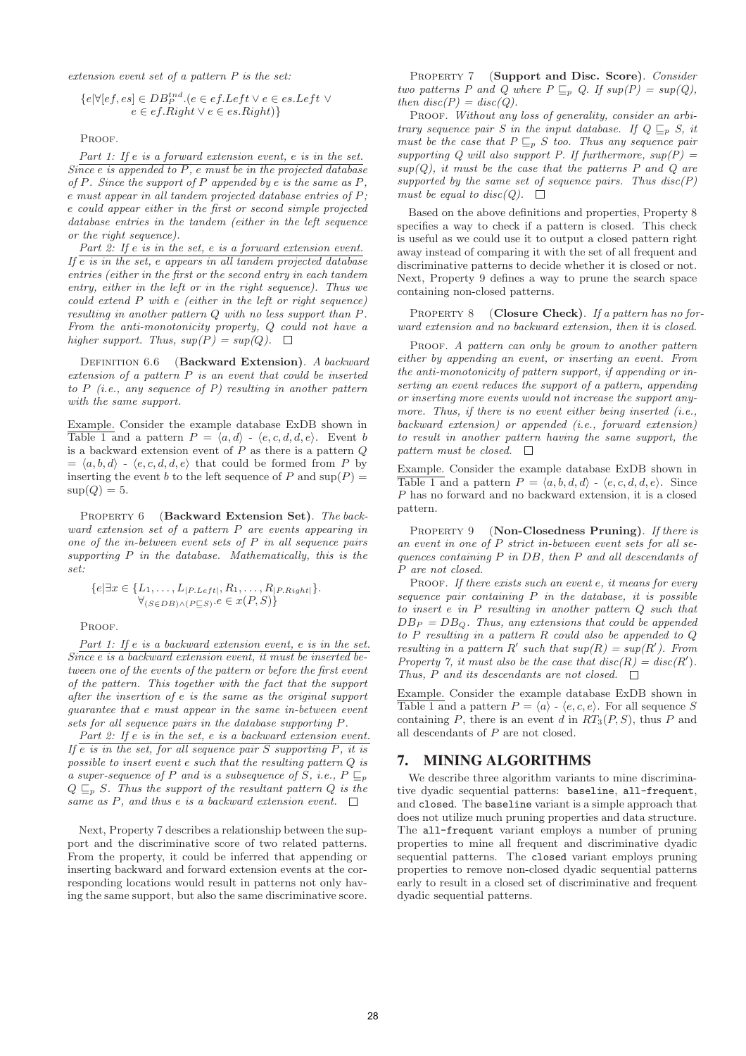extension event set of a pattern P is the set:

$$
{e|\forall [ef, es] \in DB_P^{ind}.(e \in ef.Left \lor e \in es.Left \lor e \in e.f.Right \lor e \in es.Right)}
$$

PROOF.

Part 1: If  $e$  is a forward extension event,  $e$  is in the set. Since  $e$  is appended to  $P$ ,  $e$  must be in the projected database of  $P$ . Since the support of  $P$  appended by  $e$  is the same as  $P$ , e must appear in all tandem projected database entries of  $P$ ; could appear either in the first or second simple projected database entries in the tandem (either in the left sequence or the right sequence).

Part 2: If  $e$  is in the set,  $e$  is a forward extension event. If  $\overline{e}$  is in the set,  $\overline{e}$  appears in all tandem projected database entries (either in the first or the second entry in each tandem entry, either in the left or in the right sequence). Thus we could extend  $P$  with  $e$  (either in the left or right sequence) resulting in another pattern  $Q$  with no less support than  $P$ . From the anti-monotonicity property,  $Q$  could not have a higher support. Thus,  $sup(P) = sup(Q)$ .  $\Box$ 

Definition 6.6 (**Backward Extension)**. A backward extension of a pattern  $P$  is an event that could be inserted to  $P$  (i.e., any sequence of  $P$ ) resulting in another pattern with the same support.

Example. Consider the example database ExDB shown in Table 1 and a pattern  $P = \langle a, d \rangle - \langle e, c, d, d, e \rangle$ . Event b is a backward extension event of  $P$  as there is a pattern  $Q$  $= \langle a, b, d \rangle - \langle e, c, d, d, e \rangle$  that could be formed from P by inserting the event *b* to the left sequence of  $P$  and  $\sup(P)$  =  $\sup(Q) = 5.$ 

Property 6 (**Backward Extension Set)**. The backward extension set of a pattern  $P$  are events appearing in one of the in-between event sets of  $P$  in all sequence pairs supporting  $P$  in the database. Mathematically, this is the set:

$$
\{e | \exists x \in \{L_1, \ldots, L_{|P.Left|}, R_1, \ldots, R_{|P.Right|}\}.\newline \forall_{(S \in DB) \land (P \subseteq S)} . e \in x(P, S)\}
$$

PROOF.

Part 1: If  $e$  is a backward extension event,  $e$  is in the set.  $Since e is a backward extension event, it must be inserted be$ tween one of the events of the pattern or before the first event of the pattern. This together with the fact that the support after the insertion of  $e$  is the same as the original support guarantee that  $e$  must appear in the same in-between event sets for all sequence pairs in the database supporting  $P$ .

Part 2: If  $e$  is in the set,  $e$  is a backward extension event. If  $\overline{e}$  is in the set, for all sequence pair S supporting P, it is possible to insert event  $e$  such that the resulting pattern  $Q$  is a super-sequence of P and is a subsequence of S, i.e.,  $P \sqsubseteq_{p}$  $Q \sqsubseteq_{p} S$ . Thus the support of the resultant pattern  $Q$  is the same as  $P$ , and thus  $e$  is a backward extension event.  $\Box$ 

Next, Property 7 describes a relationship between the support and the discriminative score of two related patterns. From the property, it could be inferred that appending or inserting backward and forward extension events at the corresponding locations would result in patterns not only having the same support, but also the same discriminative score.

Property 7 (**Support and Disc. Score)**. Consider two patterns P and Q where  $P \sqsubseteq_p Q$ . If  $sup(P) = sup(Q)$ , then  $disc(P) = disc(Q)$ .

PROOF. Without any loss of generality, consider an arbitrary sequence pair S in the input database. If  $Q \sqsubseteq_{p} S$ , it must be the case that  $P \sqsubseteq_{p} S$  too. Thus any sequence pair supporting Q will also support P. If furthermore,  $sup(P)$  =  $sup(Q)$ , it must be the case that the patterns P and Q are supported by the same set of sequence pairs. Thus  $disc(P)$ must be equal to  $disc(Q)$ .  $\square$ 

Based on the above definitions and properties, Property 8 specifies a way to check if a pattern is closed. This check is useful as we could use it to output a closed pattern right away instead of comparing it with the set of all frequent and discriminative patterns to decide whether it is closed or not. Next, Property 9 defines a way to prune the search space containing non-closed patterns.

Property 8 (**Closure Check)**. If a pattern has no forward extension and no backward extension, then it is closed.

PROOF. A pattern can only be grown to another pattern either by appending an event, or inserting an event. From the anti-monotonicity of pattern support, if appending or inserting an event reduces the support of a pattern, appending or inserting more events would not increase the support anymore. Thus, if there is no event either being inserted  $(i.e.,$ backward extension) or appended (i.e., forward extension) to result in another pattern having the same support, the pattern must be closed.  $\square$ 

Example. Consider the example database ExDB shown in Table 1 and a pattern  $P = \langle a, b, d, d \rangle - \langle e, c, d, d, e \rangle$ . Since  $P$  has no forward and no backward extension, it is a closed pattern.

Property 9 (**Non-Closedness Pruning)**. If there is an event in one of  $P$  strict in-between event sets for all sequences containing  $P$  in  $DB$ , then  $P$  and all descendants of P are not closed.

PROOF. If there exists such an event e, it means for every sequence pair containing  $P$  in the database, it is possible to insert  $e$  in  $P$  resulting in another pattern  $Q$  such that  $DB_P = DB_Q$ . Thus, any extensions that could be appended to  $P$  resulting in a pattern  $R$  could also be appended to  $Q$ resulting in a pattern R' such that  $sup(R) = sup(R')$ . From Property 7, it must also be the case that  $disc(R) = disc(R')$ . Thus,  $P$  and its descendants are not closed.

Example. Consider the example database ExDB shown in Table 1 and a pattern  $P = \langle a \rangle - \langle e, c, e \rangle$ . For all sequence S containing  $P$ , there is an event  $d$  in  $RT_3(P, S)$ , thus  $P$  and all descendants of  $P$  are not closed.

#### **7. MINING ALGORITHMS**

We describe three algorithm variants to mine discriminative dyadic sequential patterns: baseline, all-frequent, and closed. The baseline variant is a simple approach that does not utilize much pruning properties and data structure. The all-frequent variant employs a number of pruning properties to mine all frequent and discriminative dyadic sequential patterns. The closed variant employs pruning properties to remove non-closed dyadic sequential patterns early to result in a closed set of discriminative and frequent dyadic sequential patterns.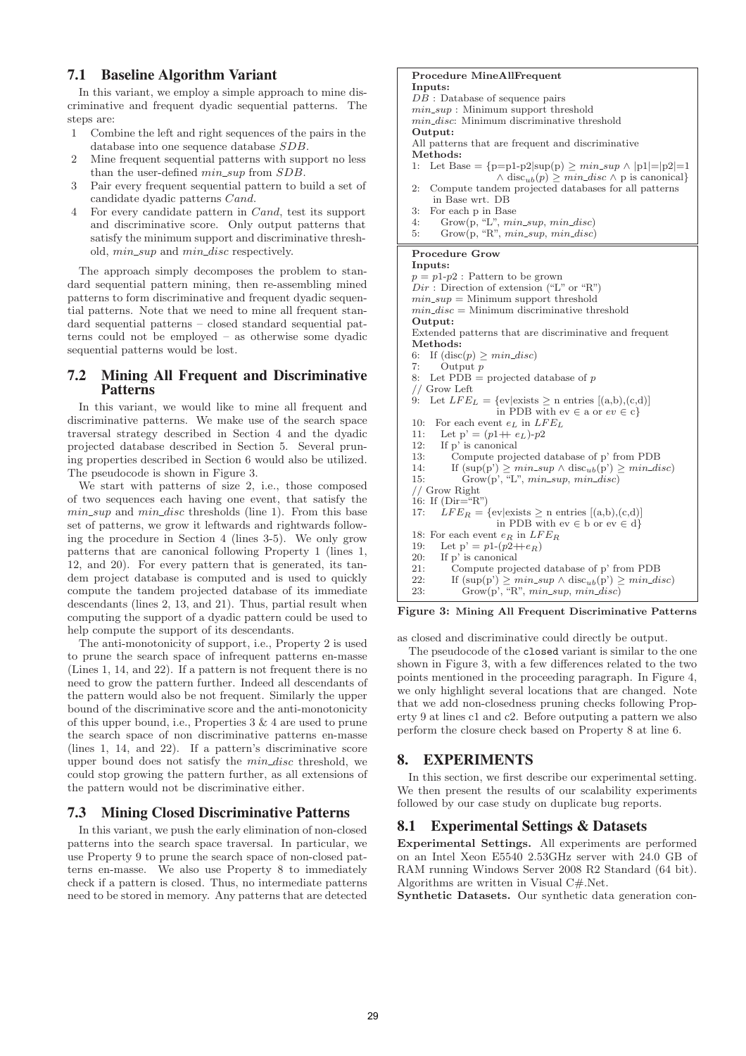# **7.1 Baseline Algorithm Variant**

In this variant, we employ a simple approach to mine discriminative and frequent dyadic sequential patterns. The steps are:

- 1 Combine the left and right sequences of the pairs in the database into one sequence database  $SDB$ .
- 2 Mine frequent sequential patterns with support no less than the user-defined  $min\_sup$  from  $SDB$ .
- 3 Pair every frequent sequential pattern to build a set of candidate dyadic patterns  $Cand$ .
- $4$  For every candidate pattern in *Cand*, test its support and discriminative score. Only output patterns that satisfy the minimum support and discriminative threshold,  $min\_sup$  and  $min\_disc$  respectively.

The approach simply decomposes the problem to standard sequential pattern mining, then re-assembling mined patterns to form discriminative and frequent dyadic sequential patterns. Note that we need to mine all frequent standard sequential patterns – closed standard sequential patterns could not be employed – as otherwise some dyadic sequential patterns would be lost.

#### **7.2 Mining All Frequent and Discriminative Patterns**

In this variant, we would like to mine all frequent and discriminative patterns. We make use of the search space traversal strategy described in Section 4 and the dyadic projected database described in Section 5. Several pruning properties described in Section 6 would also be utilized. The pseudocode is shown in Figure 3.

We start with patterns of size 2, i.e., those composed of two sequences each having one event, that satisfy the  $min\_sup$  and  $min\_disc$  thresholds (line 1). From this base set of patterns, we grow it leftwards and rightwards following the procedure in Section 4 (lines 3-5). We only grow patterns that are canonical following Property 1 (lines 1, 12, and 20). For every pattern that is generated, its tandem project database is computed and is used to quickly compute the tandem projected database of its immediate descendants (lines 2, 13, and 21). Thus, partial result when computing the support of a dyadic pattern could be used to help compute the support of its descendants.

The anti-monotonicity of support, i.e., Property 2 is used to prune the search space of infrequent patterns en-masse (Lines 1, 14, and 22). If a pattern is not frequent there is no need to grow the pattern further. Indeed all descendants of the pattern would also be not frequent. Similarly the upper bound of the discriminative score and the anti-monotonicity of this upper bound, i.e., Properties  $3 \& 4$  are used to prune the search space of non discriminative patterns en-masse (lines 1, 14, and 22). If a pattern's discriminative score upper bound does not satisfy the  $min\_disc$  threshold, we could stop growing the pattern further, as all extensions of the pattern would not be discriminative either.

## **7.3 Mining Closed Discriminative Patterns**

In this variant, we push the early elimination of non-closed patterns into the search space traversal. In particular, we use Property 9 to prune the search space of non-closed patterns en-masse. We also use Property 8 to immediately check if a pattern is closed. Thus, no intermediate patterns need to be stored in memory. Any patterns that are detected



**Figure 3: Mining All Frequent Discriminative Patterns**

as closed and discriminative could directly be output.

The pseudocode of the closed variant is similar to the one shown in Figure 3, with a few differences related to the two points mentioned in the proceeding paragraph. In Figure 4, we only highlight several locations that are changed. Note that we add non-closedness pruning checks following Property 9 at lines c1 and c2. Before outputing a pattern we also perform the closure check based on Property 8 at line 6.

# **8. EXPERIMENTS**

In this section, we first describe our experimental setting. We then present the results of our scalability experiments followed by our case study on duplicate bug reports.

## **8.1 Experimental Settings & Datasets**

**Experimental Settings.** All experiments are performed on an Intel Xeon E5540 2.53GHz server with 24.0 GB of RAM running Windows Server 2008 R2 Standard (64 bit). Algorithms are written in Visual C#.Net.

**Synthetic Datasets.** Our synthetic data generation con-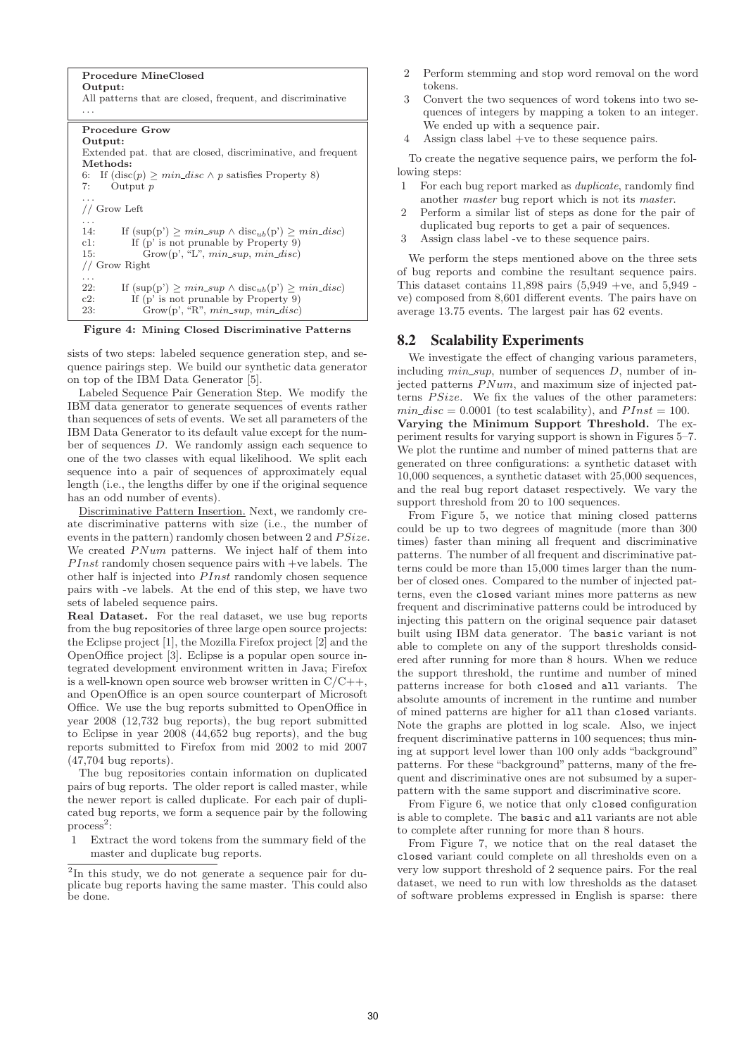| Output:<br>.              | <b>Procedure MineClosed</b><br>All patterns that are closed, frequent, and discriminative                                                                                  |
|---------------------------|----------------------------------------------------------------------------------------------------------------------------------------------------------------------------|
| Output:<br>Methods:<br>7: | Procedure Grow<br>Extended pat. that are closed, discriminative, and frequent<br>6. If $(\text{disc}(p) > min\_disc \wedge p \text{ satisfies Property } 8)$<br>Output $p$ |
|                           | // Grow Left                                                                                                                                                               |
| .<br>14:<br>$c1$ :<br>15: | If $(\sup(p') > min\_sup \wedge disc_{ub}(p') > min\_disc)$<br>If $(p'$ is not prunable by Property 9)<br>$Group, "L", min\_sup, min\_disc)$<br>// Grow Right              |
| .<br>22:<br>$c2$ :<br>23: | If $(\sup(p') \geq min\_sup \wedge disc_{ub}(p') \geq min\_disc)$<br>If $(p'$ is not prunable by Property 9)<br>$Group', "R", min\_sup, min\_disc)$                        |

**Figure 4: Mining Closed Discriminative Patterns**

sists of two steps: labeled sequence generation step, and sequence pairings step. We build our synthetic data generator on top of the IBM Data Generator [5].

Labeled Sequence Pair Generation Step. We modify the IBM data generator to generate sequences of events rather than sequences of sets of events. We set all parameters of the IBM Data Generator to its default value except for the number of sequences  $D$ . We randomly assign each sequence to one of the two classes with equal likelihood. We split each sequence into a pair of sequences of approximately equal length (i.e., the lengths differ by one if the original sequence has an odd number of events).

Discriminative Pattern Insertion. Next, we randomly create discriminative patterns with size (i.e., the number of events in the pattern) randomly chosen between 2 and  $PSize$ . We created  $PNum$  patterns. We inject half of them into *PInst* randomly chosen sequence pairs with  $+ve$  labels. The other half is injected into  $PInst$  randomly chosen sequence pairs with -ve labels. At the end of this step, we have two sets of labeled sequence pairs.

**Real Dataset.** For the real dataset, we use bug reports from the bug repositories of three large open source projects: the Eclipse project [1], the Mozilla Firefox project [2] and the OpenOffice project [3]. Eclipse is a popular open source integrated development environment written in Java; Firefox is a well-known open source web browser written in  $C/C++$ , and OpenOffice is an open source counterpart of Microsoft Office. We use the bug reports submitted to OpenOffice in year 2008 (12,732 bug reports), the bug report submitted to Eclipse in year 2008 (44,652 bug reports), and the bug reports submitted to Firefox from mid 2002 to mid 2007 (47,704 bug reports).

The bug repositories contain information on duplicated pairs of bug reports. The older report is called master, while the newer report is called duplicate. For each pair of duplicated bug reports, we form a sequence pair by the following  $process<sup>2</sup>$ :

1 Extract the word tokens from the summary field of the master and duplicate bug reports.

- 2 Perform stemming and stop word removal on the word tokens.
- 3 Convert the two sequences of word tokens into two sequences of integers by mapping a token to an integer. We ended up with a sequence pair.
- 4 Assign class label +ve to these sequence pairs.

To create the negative sequence pairs, we perform the following steps:

- 1 For each bug report marked as duplicate, randomly find another master bug report which is not its master.
- 2 Perform a similar list of steps as done for the pair of duplicated bug reports to get a pair of sequences.
- 3 Assign class label -ve to these sequence pairs.

We perform the steps mentioned above on the three sets of bug reports and combine the resultant sequence pairs. This dataset contains  $11,898$  pairs  $(5,949 +ve,$  and  $5,949$ ve) composed from 8,601 different events. The pairs have on average 13.75 events. The largest pair has 62 events.

## **8.2 Scalability Experiments**

We investigate the effect of changing various parameters, including  $min\_sup$ , number of sequences D, number of injected patterns  $PNum$ , and maximum size of injected patterns  $PSize$ . We fix the values of the other parameters:  $min\_disc = 0.0001$  (to test scalability), and  $PInst = 100$ . **Varying the Minimum Support Threshold.** The experiment results for varying support is shown in Figures 5–7. We plot the runtime and number of mined patterns that are generated on three configurations: a synthetic dataset with 10,000 sequences, a synthetic dataset with 25,000 sequences, and the real bug report dataset respectively. We vary the support threshold from 20 to 100 sequences.

From Figure 5, we notice that mining closed patterns could be up to two degrees of magnitude (more than 300 times) faster than mining all frequent and discriminative patterns. The number of all frequent and discriminative patterns could be more than 15,000 times larger than the number of closed ones. Compared to the number of injected patterns, even the closed variant mines more patterns as new frequent and discriminative patterns could be introduced by injecting this pattern on the original sequence pair dataset built using IBM data generator. The basic variant is not able to complete on any of the support thresholds considered after running for more than 8 hours. When we reduce the support threshold, the runtime and number of mined patterns increase for both closed and all variants. The absolute amounts of increment in the runtime and number of mined patterns are higher for all than closed variants. Note the graphs are plotted in log scale. Also, we inject frequent discriminative patterns in 100 sequences; thus mining at support level lower than 100 only adds "background" patterns. For these "background" patterns, many of the frequent and discriminative ones are not subsumed by a superpattern with the same support and discriminative score.

From Figure 6, we notice that only closed configuration is able to complete. The basic and all variants are not able to complete after running for more than 8 hours.

From Figure 7, we notice that on the real dataset the closed variant could complete on all thresholds even on a very low support threshold of 2 sequence pairs. For the real dataset, we need to run with low thresholds as the dataset of software problems expressed in English is sparse: there

<sup>2</sup>In this study, we do not generate a sequence pair for duplicate bug reports having the same master. This could also be done.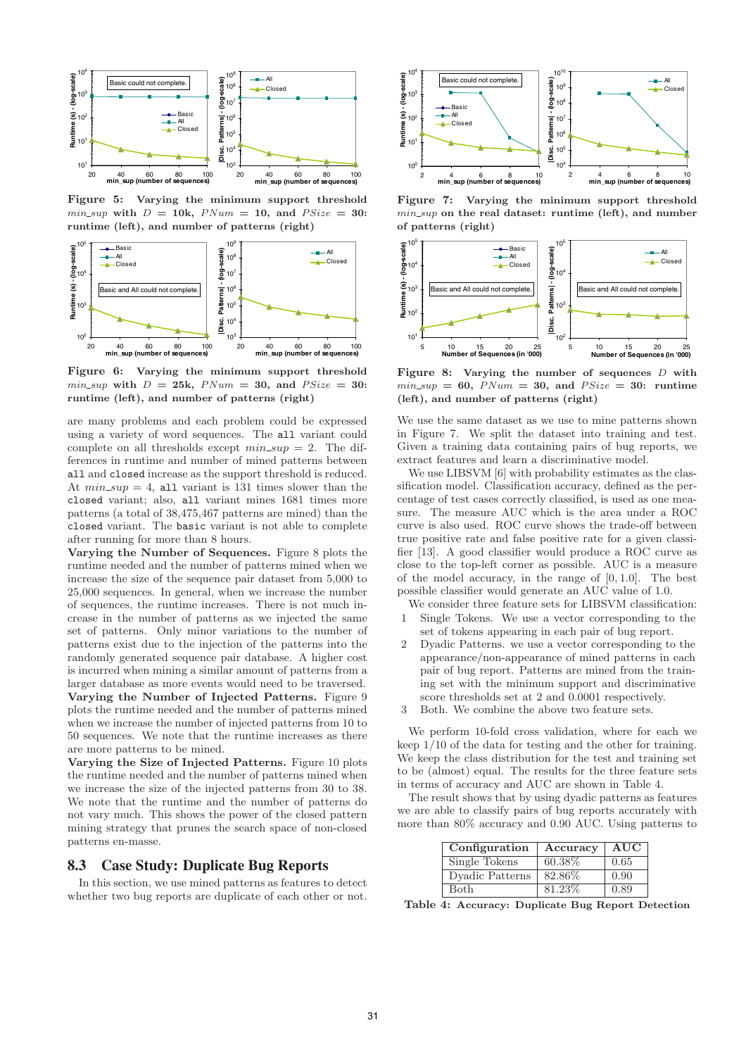

**Figure 5: Varying the minimum support threshold**  $min\_sup$  with  $D = 10k$ ,  $PNum = 10$ , and  $PSize = 30$ : **runtime (left), and number of patterns (right)**



**Figure 6: Varying the minimum support threshold**  $min\_sup$  with  $D = 25k$ ,  $PNum = 30$ , and  $PSize = 30$ : **runtime (left), and number of patterns (right)**

are many problems and each problem could be expressed using a variety of word sequences. The all variant could complete on all thresholds except  $min\_sup = 2$ . The differences in runtime and number of mined patterns between all and closed increase as the support threshold is reduced. At  $min\_sup = 4$ , all variant is 131 times slower than the closed variant; also, all variant mines 1681 times more patterns (a total of 38,475,467 patterns are mined) than the closed variant. The basic variant is not able to complete after running for more than 8 hours.

**Varying the Number of Sequences.** Figure 8 plots the runtime needed and the number of patterns mined when we increase the size of the sequence pair dataset from 5,000 to 25,000 sequences. In general, when we increase the number of sequences, the runtime increases. There is not much increase in the number of patterns as we injected the same set of patterns. Only minor variations to the number of patterns exist due to the injection of the patterns into the randomly generated sequence pair database. A higher cost is incurred when mining a similar amount of patterns from a larger database as more events would need to be traversed. **Varying the Number of Injected Patterns.** Figure 9 plots the runtime needed and the number of patterns mined when we increase the number of injected patterns from 10 to 50 sequences. We note that the runtime increases as there are more patterns to be mined.

**Varying the Size of Injected Patterns.** Figure 10 plots the runtime needed and the number of patterns mined when we increase the size of the injected patterns from 30 to 38. We note that the runtime and the number of patterns do not vary much. This shows the power of the closed pattern mining strategy that prunes the search space of non-closed patterns en-masse.

#### **8.3 Case Study: Duplicate Bug Reports**

In this section, we use mined patterns as features to detect whether two bug reports are duplicate of each other or not.



**Figure 7: Varying the minimum support threshold on the real dataset: runtime (left), and number of patterns (right)**



**Figure 8: Varying the number of sequences with**  $min\_sup = 60$ ,  $PNum = 30$ , and  $PSize = 30$ : runtime **(left), and number of patterns (right)**

We use the same dataset as we use to mine patterns shown in Figure 7. We split the dataset into training and test. Given a training data containing pairs of bug reports, we extract features and learn a discriminative model.

We use LIBSVM [6] with probability estimates as the classification model. Classification accuracy, defined as the percentage of test cases correctly classified, is used as one measure. The measure AUC which is the area under a ROC curve is also used. ROC curve shows the trade-off between true positive rate and false positive rate for a given classifier [13]. A good classifier would produce a ROC curve as close to the top-left corner as possible. AUC is a measure of the model accuracy, in the range of  $[0, 1.0]$ . The best possible classifier would generate an AUC value of 1.0.

- We consider three feature sets for LIBSVM classification: 1 Single Tokens. We use a vector corresponding to the set of tokens appearing in each pair of bug report.
- 2 Dyadic Patterns. we use a vector corresponding to the appearance/non-appearance of mined patterns in each pair of bug report. Patterns are mined from the training set with the minimum support and discriminative score thresholds set at 2 and 0.0001 respectively.
- 3 Both. We combine the above two feature sets.

We perform 10-fold cross validation, where for each we keep 1/10 of the data for testing and the other for training. We keep the class distribution for the test and training set to be (almost) equal. The results for the three feature sets in terms of accuracy and AUC are shown in Table 4.

The result shows that by using dyadic patterns as features we are able to classify pairs of bug reports accurately with more than 80% accuracy and 0.90 AUC. Using patterns to

| Configuration   | Accuracy | <b>AUC</b> |
|-----------------|----------|------------|
| Single Tokens   | 60.38\%  | 0.65       |
| Dyadic Patterns | 82.86\%  | 0.90       |
| <b>Both</b>     | 81.23\%  | 0.89       |

**Table 4: Accuracy: Duplicate Bug Report Detection**